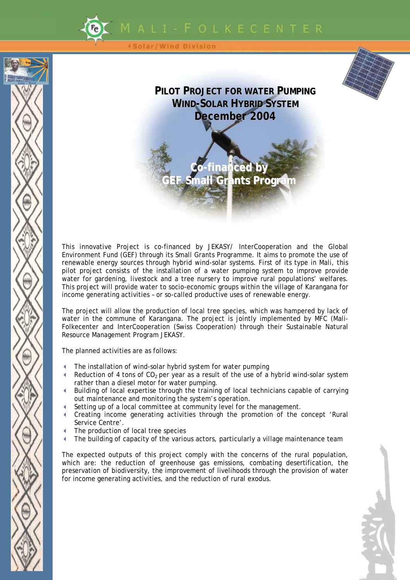#### Solar/Wind Division





**Co-financed by**

**GEF Small Grants Program**

This innovative Project is co-financed by JEKASY/ InterCooperation and the Global Environment Fund (GEF) through its Small Grants Programme. It aims to promote the use of renewable energy sources through hybrid wind-solar systems. First of its type in Mali, this pilot project consists of the installation of a water pumping system to improve provide water for gardening, livestock and a tree nursery to improve rural populations' welfares. This project will provide water to socio-economic groups within the village of Karangana for income generating activities – or so-called productive uses of renewable energy.

The project will allow the production of local tree species, which was hampered by lack of water in the commune of Karangana. The project is jointly implemented by MFC (Mali-Folkecenter and InterCooperation (Swiss Cooperation) through their Sustainable Natural Resource Management Program JEKASY.

The planned activities are as follows:

- The installation of wind-solar hybrid system for water pumping
- Reduction of 4 tons of  $CO<sub>2</sub>$  per year as a result of the use of a hybrid wind-solar system rather than a diesel motor for water pumping.
- Building of local expertise through the training of local technicians capable of carrying out maintenance and monitoring the system's operation.
- Setting up of a local committee at community level for the management.
- Creating income generating activities through the promotion of the concept 'Rural Service Centre'.
- The production of local tree species
- The building of capacity of the various actors, particularly a village maintenance team

The expected outputs of this project comply with the concerns of the rural population, which are: the reduction of greenhouse gas emissions, combating desertification, the preservation of biodiversity, the improvement of livelihoods through the provision of water for income generating activities, and the reduction of rural exodus.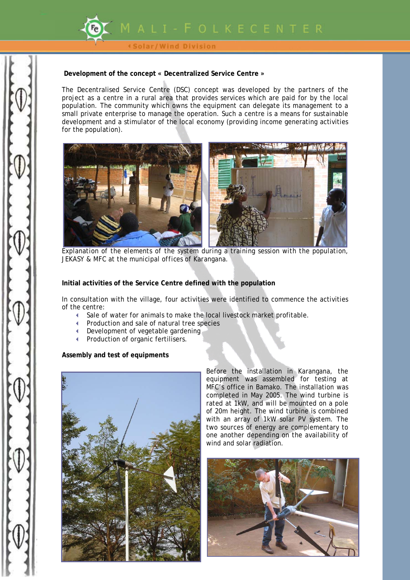

#### Solar/Wind Division

## **Development of the concept « Decentralized Service Centre »**

The Decentralised Service Centre (DSC) concept was developed by the partners of the project as a centre in a rural area that provides services which are paid for by the local population. The community which owns the equipment can delegate its management to a small private enterprise to manage the operation. Such a centre is a means for sustainable development and a stimulator of the local economy (providing income generating activities for the population).



 *Explanation of the elements of the system during a training session with the population, JEKASY & MFC at the municipal offices of Karangana.* 

## **Initial activities of the Service Centre defined with the population**

In consultation with the village, four activities were identified to commence the activities of the centre:

- Sale of water for animals to make the local livestock market profitable.
- **Production and sale of natural tree species**
- Development of vegetable gardening
- Production of organic fertilisers.

### **Assembly and test of equipments**



Before the installation in Karangana, the equipment was assembled for testing at MFC's office in Bamako. The installation was completed in May 2005. The wind turbine is rated at 1kW, and will be mounted on a pole of 20m height. The wind turbine is combined with an array of 1kW solar PV system. The two sources of energy are complementary to one another depending on the availability of wind and solar radiation.